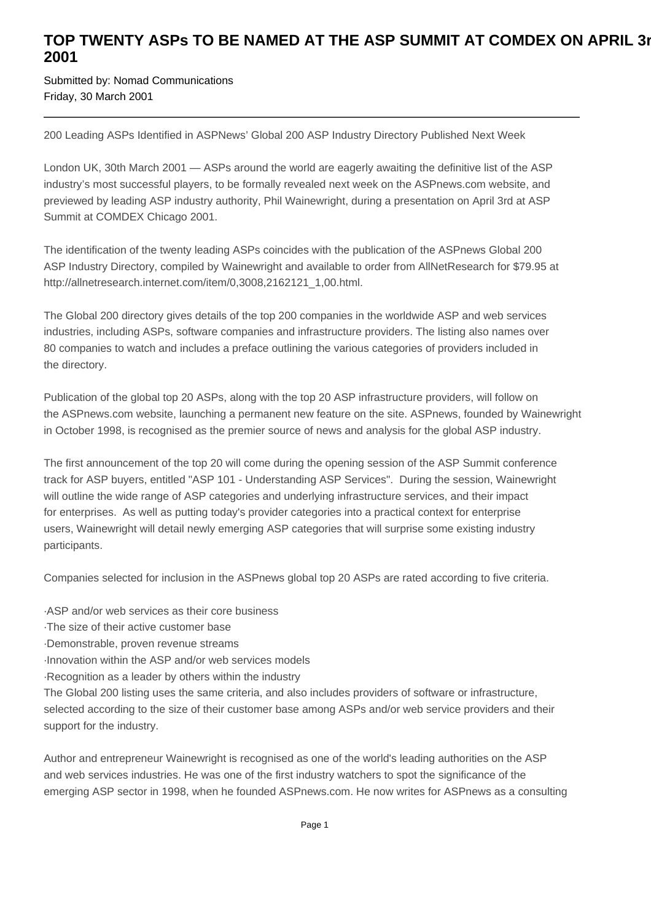## TOP TWENTY ASPs TO BE NAMED AT THE ASP SUMMIT AT COMDEX ON APRIL 3r **2001**

Submitted by: Nomad Communications Friday, 30 March 2001

200 Leading ASPs Identified in ASPNews' Global 200 ASP Industry Directory Published Next Week

London UK, 30th March 2001 — ASPs around the world are eagerly awaiting the definitive list of the ASP industry's most successful players, to be formally revealed next week on the ASPnews.com website, and previewed by leading ASP industry authority, Phil Wainewright, during a presentation on April 3rd at ASP Summit at COMDEX Chicago 2001.

The identification of the twenty leading ASPs coincides with the publication of the ASPnews Global 200 ASP Industry Directory, compiled by Wainewright and available to order from AllNetResearch for \$79.95 at http://allnetresearch.internet.com/item/0,3008,2162121\_1,00.html.

The Global 200 directory gives details of the top 200 companies in the worldwide ASP and web services industries, including ASPs, software companies and infrastructure providers. The listing also names over 80 companies to watch and includes a preface outlining the various categories of providers included in the directory.

Publication of the global top 20 ASPs, along with the top 20 ASP infrastructure providers, will follow on the ASPnews.com website, launching a permanent new feature on the site. ASPnews, founded by Wainewright in October 1998, is recognised as the premier source of news and analysis for the global ASP industry.

The first announcement of the top 20 will come during the opening session of the ASP Summit conference track for ASP buyers, entitled "ASP 101 - Understanding ASP Services". During the session, Wainewright will outline the wide range of ASP categories and underlying infrastructure services, and their impact for enterprises. As well as putting today's provider categories into a practical context for enterprise users, Wainewright will detail newly emerging ASP categories that will surprise some existing industry participants.

Companies selected for inclusion in the ASPnews global top 20 ASPs are rated according to five criteria.

- · ASP and/or web services as their core business
- · The size of their active customer base
- · Demonstrable, proven revenue streams
- · Innovation within the ASP and/or web services models
- · Recognition as a leader by others within the industry

The Global 200 listing uses the same criteria, and also includes providers of software or infrastructure, selected according to the size of their customer base among ASPs and/or web service providers and their support for the industry.

Author and entrepreneur Wainewright is recognised as one of the world's leading authorities on the ASP and web services industries. He was one of the first industry watchers to spot the significance of the emerging ASP sector in 1998, when he founded ASPnews.com. He now writes for ASPnews as a consulting